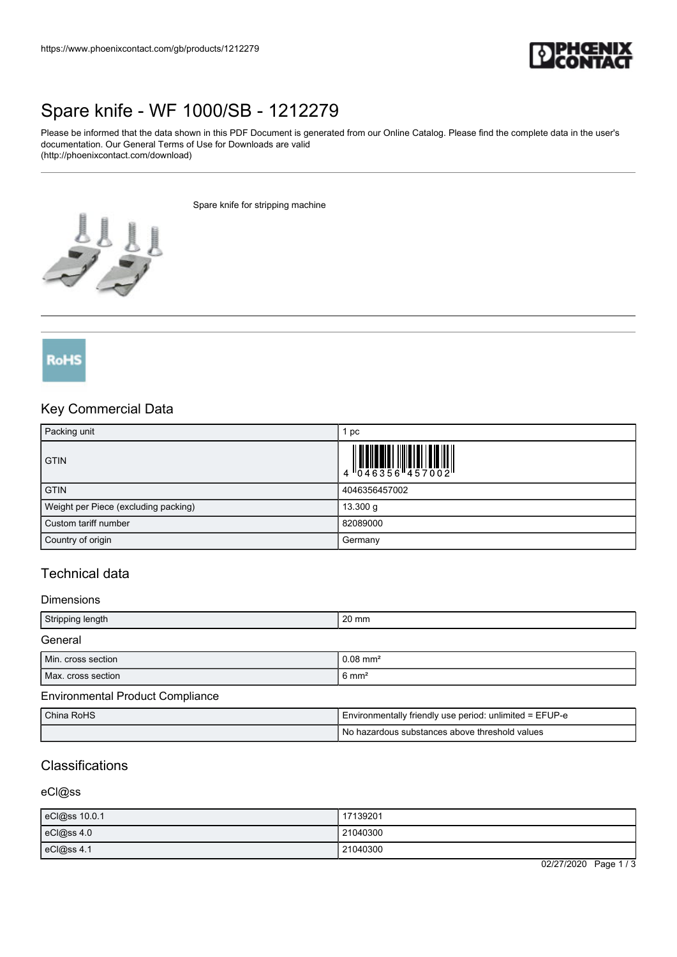

# [Spare knife - WF 1000/SB - 1212279](https://www.phoenixcontact.com/gb/products/1212279)

Please be informed that the data shown in this PDF Document is generated from our Online Catalog. Please find the complete data in the user's documentation. Our General Terms of Use for Downloads are valid (http://phoenixcontact.com/download)

Spare knife for stripping machine



RoHS

## Key Commercial Data

| Packing unit                         | рc            |
|--------------------------------------|---------------|
| <b>GTIN</b>                          |               |
| <b>GTIN</b>                          | 4046356457002 |
| Weight per Piece (excluding packing) | 13.300 g      |
| Custom tariff number                 | 82089000      |
| Country of origin                    | Germany       |

## Technical data

#### **Dimensions**

| Stripping length                        | $20 \text{ mm}$                                       |
|-----------------------------------------|-------------------------------------------------------|
| General                                 |                                                       |
| Min. cross section                      | $0.08$ mm <sup>2</sup>                                |
| Max. cross section                      | $6 \text{ mm}^2$                                      |
| <b>Environmental Product Compliance</b> |                                                       |
| $Chino$ $D_2UC$                         | $Environmonth, find only one provided which = EELID.$ |

| China RoHS | I Environmentally friendly use period: unlimited = EFUP-e |
|------------|-----------------------------------------------------------|
|            | No hazardous substances above threshold values            |

## Classifications

### eCl@ss

| eCl@ss 10.0.1 | 17139201 |
|---------------|----------|
| eCl@ss 4.0    | 21040300 |
| eCl@ss 4.1    | 21040300 |

02/27/2020 Page 1 / 3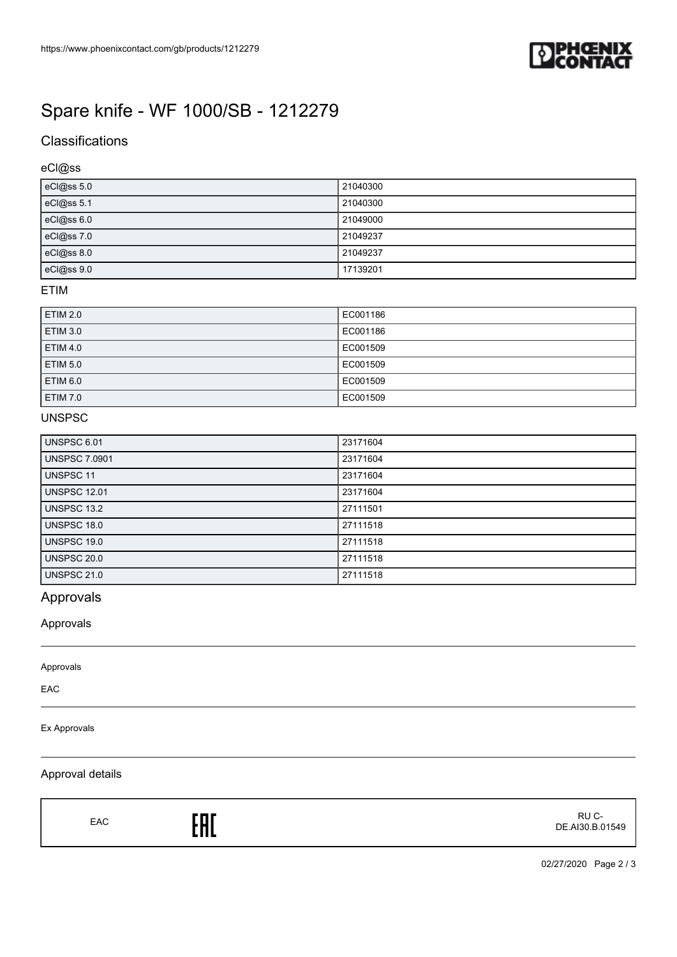

# [Spare knife - WF 1000/SB - 1212279](https://www.phoenixcontact.com/gb/products/1212279)

# **Classifications**

## eCl@ss

| eCl@ss 5.0 | 21040300 |
|------------|----------|
| eCl@ss 5.1 | 21040300 |
| eCl@ss 6.0 | 21049000 |
| eCl@ss 7.0 | 21049237 |
| eCl@ss 8.0 | 21049237 |
| eCl@ss 9.0 | 17139201 |

### ETIM

| <b>ETIM 2.0</b> | EC001186 |
|-----------------|----------|
| <b>ETIM 3.0</b> | EC001186 |
| <b>ETIM 4.0</b> | EC001509 |
| <b>ETIM 5.0</b> | EC001509 |
| ETIM 6.0        | EC001509 |
| <b>ETIM 7.0</b> | EC001509 |

## UNSPSC

| <b>UNSPSC 6.01</b>   | 23171604 |
|----------------------|----------|
| <b>UNSPSC 7.0901</b> | 23171604 |
| UNSPSC 11            | 23171604 |
| <b>UNSPSC 12.01</b>  | 23171604 |
| UNSPSC 13.2          | 27111501 |
| <b>UNSPSC 18.0</b>   | 27111518 |
| UNSPSC 19.0          | 27111518 |
| UNSPSC 20.0          | 27111518 |
| <b>UNSPSC 21.0</b>   | 27111518 |

# Approvals

## Approvals

Approvals

EAC

### Ex Approvals

## Approval details

EAC<sub>EAC</sub>ERE

 RU C-DE.AI30.B.01549

02/27/2020 Page 2 / 3